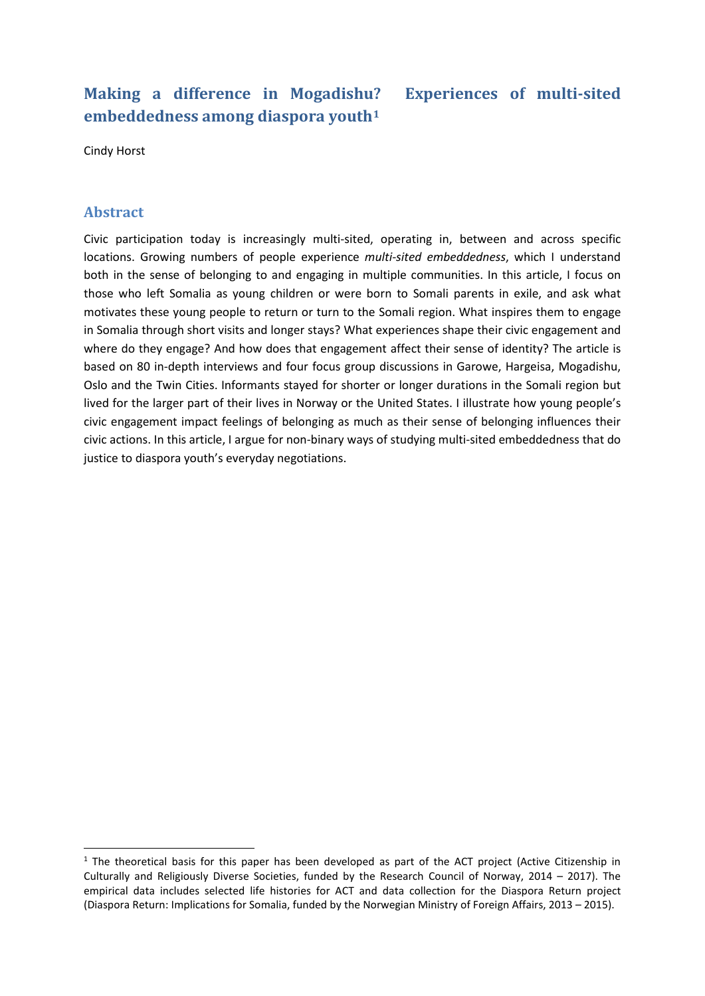# **Making a difference in Mogadishu? Experiences of multi-sited embeddedness among diaspora youth[1](#page-0-0)**

Cindy Horst

### **Abstract**

Civic participation today is increasingly multi-sited, operating in, between and across specific locations. Growing numbers of people experience *multi-sited embeddedness*, which I understand both in the sense of belonging to and engaging in multiple communities. In this article, I focus on those who left Somalia as young children or were born to Somali parents in exile, and ask what motivates these young people to return or turn to the Somali region. What inspires them to engage in Somalia through short visits and longer stays? What experiences shape their civic engagement and where do they engage? And how does that engagement affect their sense of identity? The article is based on 80 in-depth interviews and four focus group discussions in Garowe, Hargeisa, Mogadishu, Oslo and the Twin Cities. Informants stayed for shorter or longer durations in the Somali region but lived for the larger part of their lives in Norway or the United States. I illustrate how young people's civic engagement impact feelings of belonging as much as their sense of belonging influences their civic actions. In this article, I argue for non-binary ways of studying multi-sited embeddedness that do justice to diaspora youth's everyday negotiations.

<span id="page-0-0"></span> $1$  The theoretical basis for this paper has been developed as part of the ACT project (Active Citizenship in Culturally and Religiously Diverse Societies, funded by the Research Council of Norway, 2014 – 2017). The empirical data includes selected life histories for ACT and data collection for the Diaspora Return project (Diaspora Return: Implications for Somalia, funded by the Norwegian Ministry of Foreign Affairs, 2013 – 2015).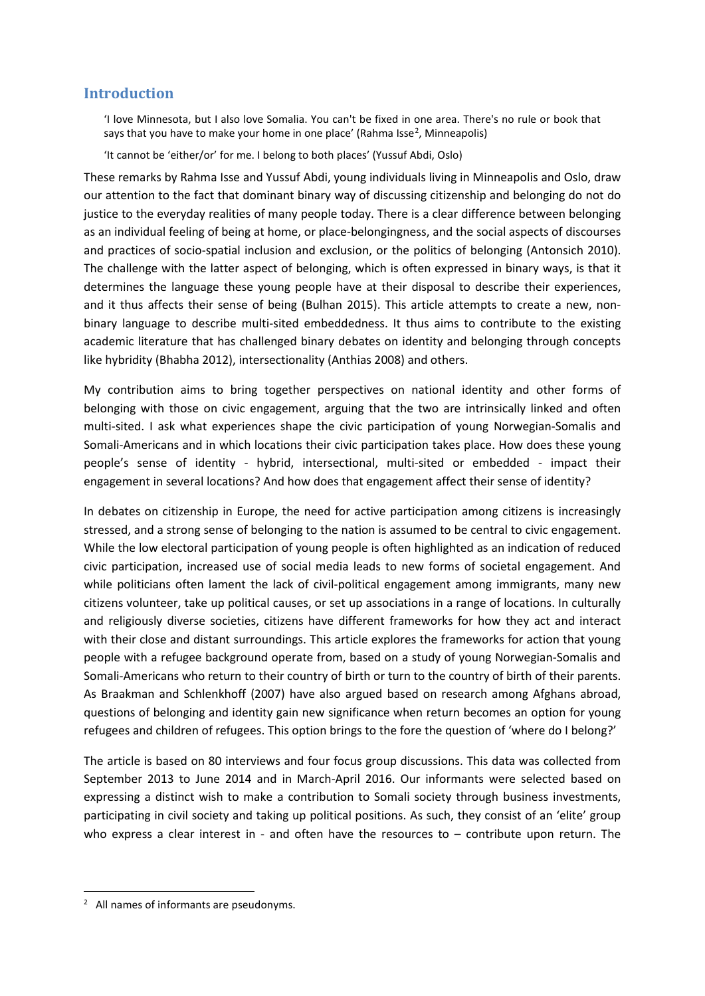#### **Introduction**

'I love Minnesota, but I also love Somalia. You can't be fixed in one area. There's no rule or book that says that you have to make your home in one place' (Rahma Isse<sup>[2](#page-1-0)</sup>, Minneapolis)

'It cannot be 'either/or' for me. I belong to both places' (Yussuf Abdi, Oslo)

These remarks by Rahma Isse and Yussuf Abdi, young individuals living in Minneapolis and Oslo, draw our attention to the fact that dominant binary way of discussing citizenship and belonging do not do justice to the everyday realities of many people today. There is a clear difference between belonging as an individual feeling of being at home, or place-belongingness, and the social aspects of discourses and practices of socio-spatial inclusion and exclusion, or the politics of belonging (Antonsich 2010). The challenge with the latter aspect of belonging, which is often expressed in binary ways, is that it determines the language these young people have at their disposal to describe their experiences, and it thus affects their sense of being (Bulhan 2015). This article attempts to create a new, nonbinary language to describe multi-sited embeddedness. It thus aims to contribute to the existing academic literature that has challenged binary debates on identity and belonging through concepts like hybridity (Bhabha 2012), intersectionality (Anthias 2008) and others.

My contribution aims to bring together perspectives on national identity and other forms of belonging with those on civic engagement, arguing that the two are intrinsically linked and often multi-sited. I ask what experiences shape the civic participation of young Norwegian-Somalis and Somali-Americans and in which locations their civic participation takes place. How does these young people's sense of identity - hybrid, intersectional, multi-sited or embedded - impact their engagement in several locations? And how does that engagement affect their sense of identity?

In debates on citizenship in Europe, the need for active participation among citizens is increasingly stressed, and a strong sense of belonging to the nation is assumed to be central to civic engagement. While the low electoral participation of young people is often highlighted as an indication of reduced civic participation, increased use of social media leads to new forms of societal engagement. And while politicians often lament the lack of civil-political engagement among immigrants, many new citizens volunteer, take up political causes, or set up associations in a range of locations. In culturally and religiously diverse societies, citizens have different frameworks for how they act and interact with their close and distant surroundings. This article explores the frameworks for action that young people with a refugee background operate from, based on a study of young Norwegian-Somalis and Somali-Americans who return to their country of birth or turn to the country of birth of their parents. As Braakman and Schlenkhoff (2007) have also argued based on research among Afghans abroad, questions of belonging and identity gain new significance when return becomes an option for young refugees and children of refugees. This option brings to the fore the question of 'where do I belong?'

The article is based on 80 interviews and four focus group discussions. This data was collected from September 2013 to June 2014 and in March-April 2016. Our informants were selected based on expressing a distinct wish to make a contribution to Somali society through business investments, participating in civil society and taking up political positions. As such, they consist of an 'elite' group who express a clear interest in - and often have the resources to  $-$  contribute upon return. The

<span id="page-1-0"></span> $\overline{2}$ <sup>2</sup> All names of informants are pseudonyms.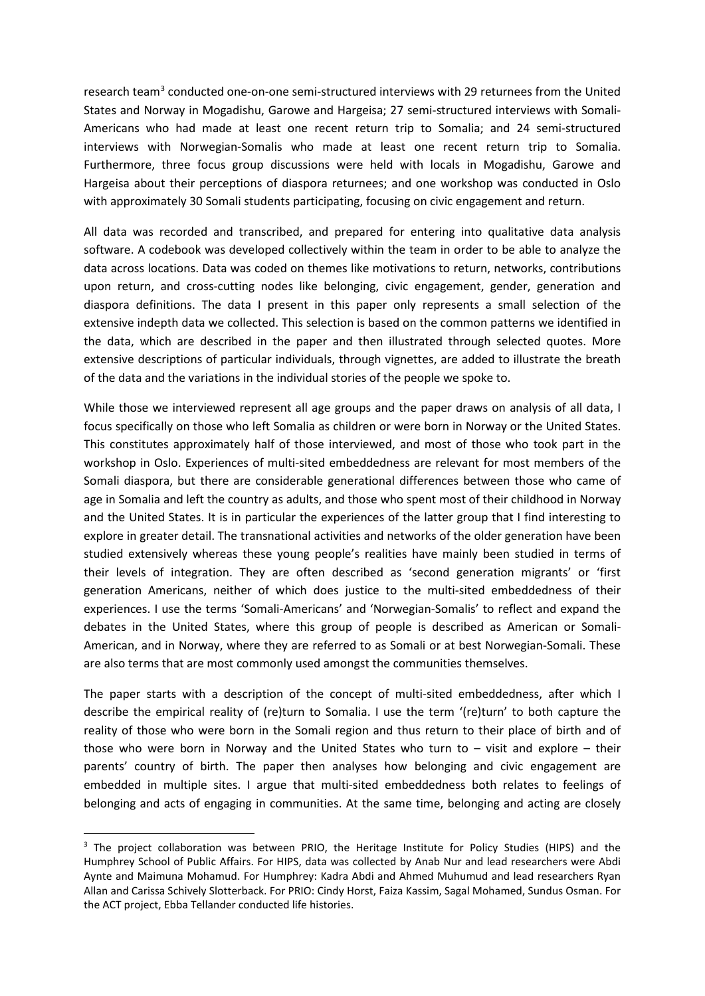research team<sup>[3](#page-2-0)</sup> conducted one-on-one semi-structured interviews with 29 returnees from the United States and Norway in Mogadishu, Garowe and Hargeisa; 27 semi-structured interviews with Somali-Americans who had made at least one recent return trip to Somalia; and 24 semi-structured interviews with Norwegian-Somalis who made at least one recent return trip to Somalia. Furthermore, three focus group discussions were held with locals in Mogadishu, Garowe and Hargeisa about their perceptions of diaspora returnees; and one workshop was conducted in Oslo with approximately 30 Somali students participating, focusing on civic engagement and return.

All data was recorded and transcribed, and prepared for entering into qualitative data analysis software. A codebook was developed collectively within the team in order to be able to analyze the data across locations. Data was coded on themes like motivations to return, networks, contributions upon return, and cross-cutting nodes like belonging, civic engagement, gender, generation and diaspora definitions. The data I present in this paper only represents a small selection of the extensive indepth data we collected. This selection is based on the common patterns we identified in the data, which are described in the paper and then illustrated through selected quotes. More extensive descriptions of particular individuals, through vignettes, are added to illustrate the breath of the data and the variations in the individual stories of the people we spoke to.

While those we interviewed represent all age groups and the paper draws on analysis of all data, I focus specifically on those who left Somalia as children or were born in Norway or the United States. This constitutes approximately half of those interviewed, and most of those who took part in the workshop in Oslo. Experiences of multi-sited embeddedness are relevant for most members of the Somali diaspora, but there are considerable generational differences between those who came of age in Somalia and left the country as adults, and those who spent most of their childhood in Norway and the United States. It is in particular the experiences of the latter group that I find interesting to explore in greater detail. The transnational activities and networks of the older generation have been studied extensively whereas these young people's realities have mainly been studied in terms of their levels of integration. They are often described as 'second generation migrants' or 'first generation Americans, neither of which does justice to the multi-sited embeddedness of their experiences. I use the terms 'Somali-Americans' and 'Norwegian-Somalis' to reflect and expand the debates in the United States, where this group of people is described as American or Somali-American, and in Norway, where they are referred to as Somali or at best Norwegian-Somali. These are also terms that are most commonly used amongst the communities themselves.

The paper starts with a description of the concept of multi-sited embeddedness, after which I describe the empirical reality of (re)turn to Somalia. I use the term '(re)turn' to both capture the reality of those who were born in the Somali region and thus return to their place of birth and of those who were born in Norway and the United States who turn to – visit and explore – their parents' country of birth. The paper then analyses how belonging and civic engagement are embedded in multiple sites. I argue that multi-sited embeddedness both relates to feelings of belonging and acts of engaging in communities. At the same time, belonging and acting are closely

<span id="page-2-0"></span><sup>&</sup>lt;sup>3</sup> The project collaboration was between PRIO, the Heritage Institute for Policy Studies (HIPS) and the Humphrey School of Public Affairs. For HIPS, data was collected by Anab Nur and lead researchers were Abdi Aynte and Maimuna Mohamud. For Humphrey: Kadra Abdi and Ahmed Muhumud and lead researchers Ryan Allan and Carissa Schively Slotterback. For PRIO: Cindy Horst, Faiza Kassim, Sagal Mohamed, Sundus Osman. For the ACT project, Ebba Tellander conducted life histories.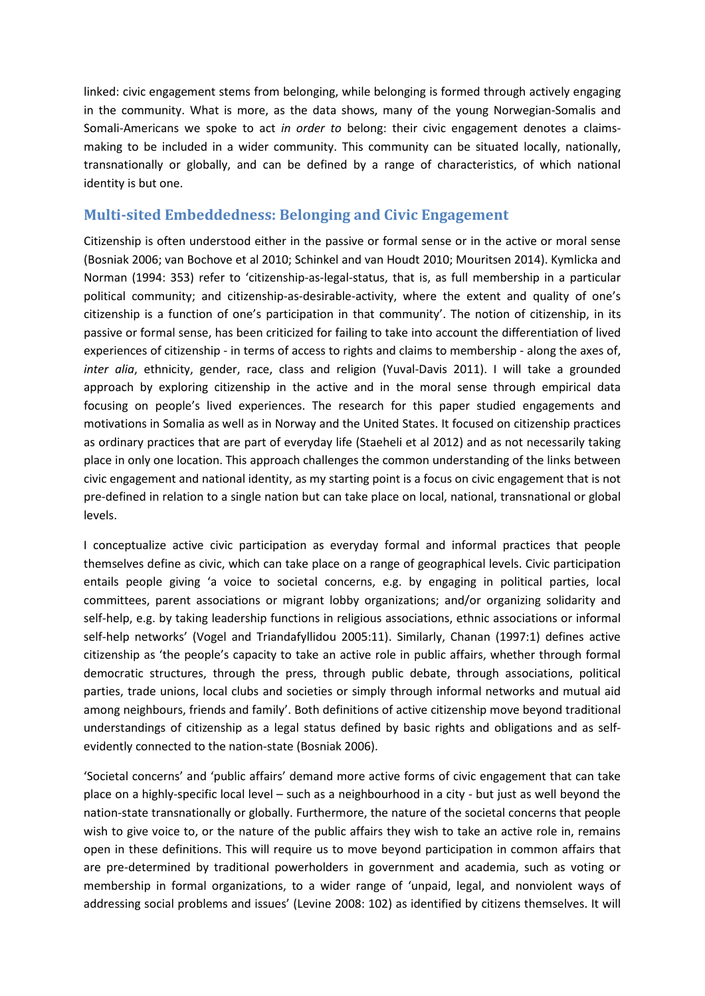linked: civic engagement stems from belonging, while belonging is formed through actively engaging in the community. What is more, as the data shows, many of the young Norwegian-Somalis and Somali-Americans we spoke to act *in order to* belong: their civic engagement denotes a claimsmaking to be included in a wider community. This community can be situated locally, nationally, transnationally or globally, and can be defined by a range of characteristics, of which national identity is but one.

## **Multi-sited Embeddedness: Belonging and Civic Engagement**

Citizenship is often understood either in the passive or formal sense or in the active or moral sense (Bosniak 2006; van Bochove et al 2010; Schinkel and van Houdt 2010; Mouritsen 2014). Kymlicka and Norman (1994: 353) refer to 'citizenship-as-legal-status, that is, as full membership in a particular political community; and citizenship-as-desirable-activity, where the extent and quality of one's citizenship is a function of one's participation in that community'. The notion of citizenship, in its passive or formal sense, has been criticized for failing to take into account the differentiation of lived experiences of citizenship - in terms of access to rights and claims to membership - along the axes of, *inter alia*, ethnicity, gender, race, class and religion (Yuval-Davis 2011). I will take a grounded approach by exploring citizenship in the active and in the moral sense through empirical data focusing on people's lived experiences. The research for this paper studied engagements and motivations in Somalia as well as in Norway and the United States. It focused on citizenship practices as ordinary practices that are part of everyday life (Staeheli et al 2012) and as not necessarily taking place in only one location. This approach challenges the common understanding of the links between civic engagement and national identity, as my starting point is a focus on civic engagement that is not pre-defined in relation to a single nation but can take place on local, national, transnational or global levels.

I conceptualize active civic participation as everyday formal and informal practices that people themselves define as civic, which can take place on a range of geographical levels. Civic participation entails people giving 'a voice to societal concerns, e.g. by engaging in political parties, local committees, parent associations or migrant lobby organizations; and/or organizing solidarity and self-help, e.g. by taking leadership functions in religious associations, ethnic associations or informal self-help networks' (Vogel and Triandafyllidou 2005:11). Similarly, Chanan (1997:1) defines active citizenship as 'the people's capacity to take an active role in public affairs, whether through formal democratic structures, through the press, through public debate, through associations, political parties, trade unions, local clubs and societies or simply through informal networks and mutual aid among neighbours, friends and family'. Both definitions of active citizenship move beyond traditional understandings of citizenship as a legal status defined by basic rights and obligations and as selfevidently connected to the nation-state (Bosniak 2006).

'Societal concerns' and 'public affairs' demand more active forms of civic engagement that can take place on a highly-specific local level – such as a neighbourhood in a city - but just as well beyond the nation-state transnationally or globally. Furthermore, the nature of the societal concerns that people wish to give voice to, or the nature of the public affairs they wish to take an active role in, remains open in these definitions. This will require us to move beyond participation in common affairs that are pre-determined by traditional powerholders in government and academia, such as voting or membership in formal organizations, to a wider range of 'unpaid, legal, and nonviolent ways of addressing social problems and issues' (Levine 2008: 102) as identified by citizens themselves. It will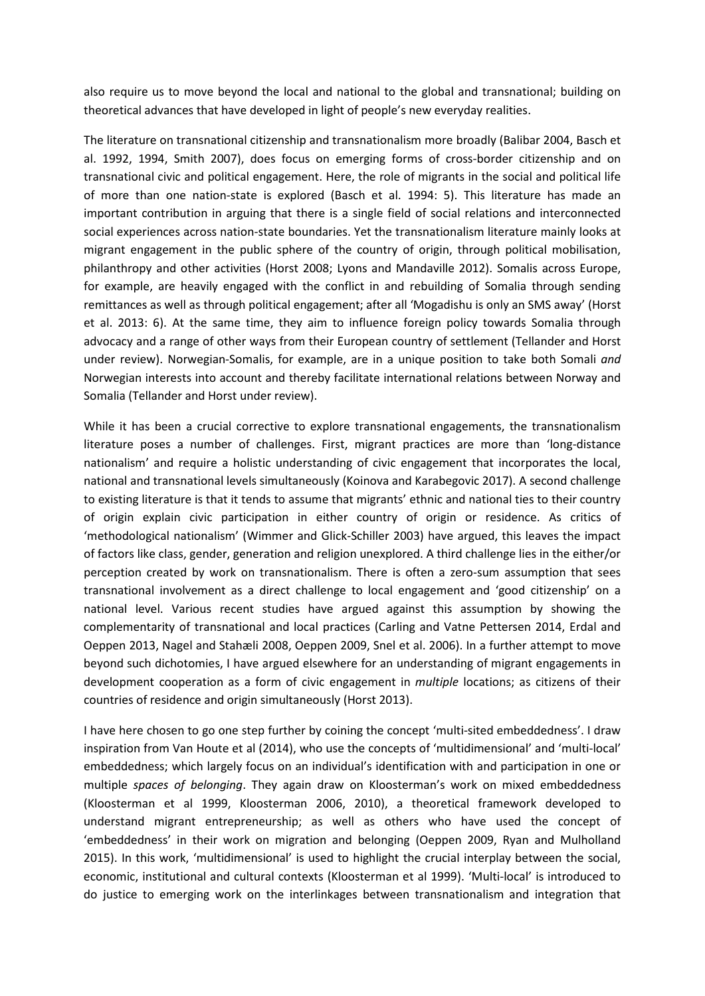also require us to move beyond the local and national to the global and transnational; building on theoretical advances that have developed in light of people's new everyday realities.

The literature on transnational citizenship and transnationalism more broadly (Balibar 2004, Basch et al. 1992, 1994, Smith 2007), does focus on emerging forms of cross-border citizenship and on transnational civic and political engagement. Here, the role of migrants in the social and political life of more than one nation-state is explored (Basch et al. 1994: 5). This literature has made an important contribution in arguing that there is a single field of social relations and interconnected social experiences across nation-state boundaries. Yet the transnationalism literature mainly looks at migrant engagement in the public sphere of the country of origin, through political mobilisation, philanthropy and other activities (Horst 2008; Lyons and Mandaville 2012). Somalis across Europe, for example, are heavily engaged with the conflict in and rebuilding of Somalia through sending remittances as well as through political engagement; after all 'Mogadishu is only an SMS away' (Horst et al. 2013: 6). At the same time, they aim to influence foreign policy towards Somalia through advocacy and a range of other ways from their European country of settlement (Tellander and Horst under review). Norwegian-Somalis, for example, are in a unique position to take both Somali *and* Norwegian interests into account and thereby facilitate international relations between Norway and Somalia (Tellander and Horst under review).

While it has been a crucial corrective to explore transnational engagements, the transnationalism literature poses a number of challenges. First, migrant practices are more than 'long-distance nationalism' and require a holistic understanding of civic engagement that incorporates the local, national and transnational levels simultaneously (Koinova and Karabegovic 2017). A second challenge to existing literature is that it tends to assume that migrants' ethnic and national ties to their country of origin explain civic participation in either country of origin or residence. As critics of 'methodological nationalism' (Wimmer and Glick-Schiller 2003) have argued, this leaves the impact of factors like class, gender, generation and religion unexplored. A third challenge lies in the either/or perception created by work on transnationalism. There is often a zero-sum assumption that sees transnational involvement as a direct challenge to local engagement and 'good citizenship' on a national level. Various recent studies have argued against this assumption by showing the complementarity of transnational and local practices (Carling and Vatne Pettersen 2014, Erdal and Oeppen 2013, Nagel and Stahæli 2008, Oeppen 2009, Snel et al. 2006). In a further attempt to move beyond such dichotomies, I have argued elsewhere for an understanding of migrant engagements in development cooperation as a form of civic engagement in *multiple* locations; as citizens of their countries of residence and origin simultaneously (Horst 2013).

I have here chosen to go one step further by coining the concept 'multi-sited embeddedness'. I draw inspiration from Van Houte et al (2014), who use the concepts of 'multidimensional' and 'multi-local' embeddedness; which largely focus on an individual's identification with and participation in one or multiple *spaces of belonging*. They again draw on Kloosterman's work on mixed embeddedness (Kloosterman et al 1999, Kloosterman 2006, 2010), a theoretical framework developed to understand migrant entrepreneurship; as well as others who have used the concept of 'embeddedness' in their work on migration and belonging (Oeppen 2009, Ryan and Mulholland 2015). In this work, 'multidimensional' is used to highlight the crucial interplay between the social, economic, institutional and cultural contexts (Kloosterman et al 1999). 'Multi-local' is introduced to do justice to emerging work on the interlinkages between transnationalism and integration that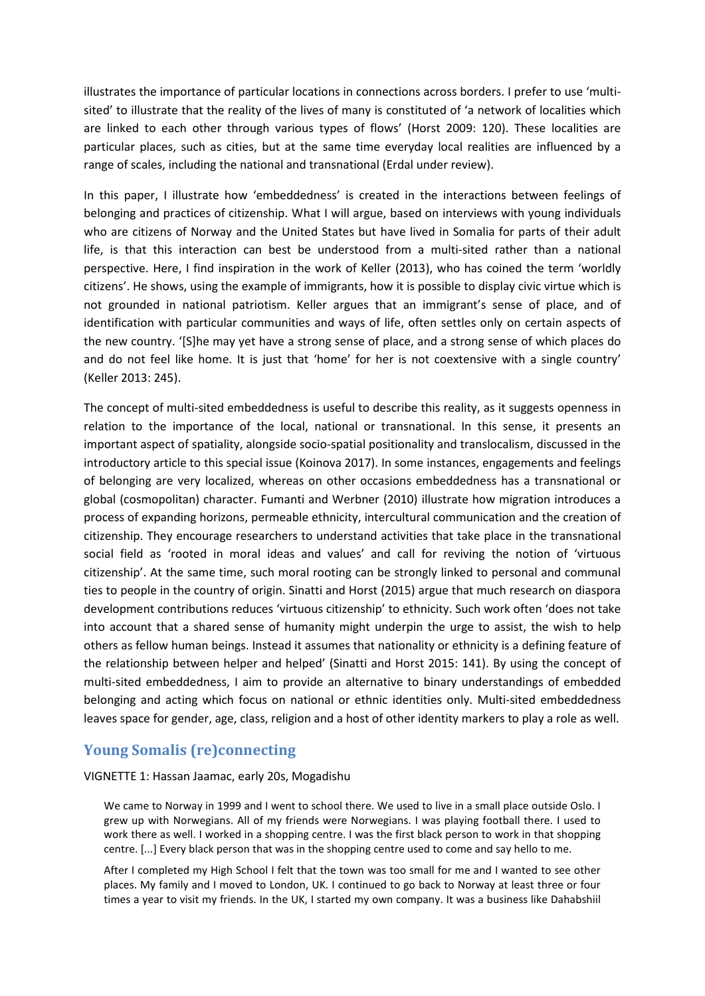illustrates the importance of particular locations in connections across borders. I prefer to use 'multisited' to illustrate that the reality of the lives of many is constituted of 'a network of localities which are linked to each other through various types of flows' (Horst 2009: 120). These localities are particular places, such as cities, but at the same time everyday local realities are influenced by a range of scales, including the national and transnational (Erdal under review).

In this paper, I illustrate how 'embeddedness' is created in the interactions between feelings of belonging and practices of citizenship. What I will argue, based on interviews with young individuals who are citizens of Norway and the United States but have lived in Somalia for parts of their adult life, is that this interaction can best be understood from a multi-sited rather than a national perspective. Here, I find inspiration in the work of Keller (2013), who has coined the term 'worldly citizens'. He shows, using the example of immigrants, how it is possible to display civic virtue which is not grounded in national patriotism. Keller argues that an immigrant's sense of place, and of identification with particular communities and ways of life, often settles only on certain aspects of the new country. '[S]he may yet have a strong sense of place, and a strong sense of which places do and do not feel like home. It is just that 'home' for her is not coextensive with a single country' (Keller 2013: 245).

The concept of multi-sited embeddedness is useful to describe this reality, as it suggests openness in relation to the importance of the local, national or transnational. In this sense, it presents an important aspect of spatiality, alongside socio-spatial positionality and translocalism, discussed in the introductory article to this special issue (Koinova 2017). In some instances, engagements and feelings of belonging are very localized, whereas on other occasions embeddedness has a transnational or global (cosmopolitan) character. Fumanti and Werbner (2010) illustrate how migration introduces a process of expanding horizons, permeable ethnicity, intercultural communication and the creation of citizenship. They encourage researchers to understand activities that take place in the transnational social field as 'rooted in moral ideas and values' and call for reviving the notion of 'virtuous citizenship'. At the same time, such moral rooting can be strongly linked to personal and communal ties to people in the country of origin. Sinatti and Horst (2015) argue that much research on diaspora development contributions reduces 'virtuous citizenship' to ethnicity. Such work often 'does not take into account that a shared sense of humanity might underpin the urge to assist, the wish to help others as fellow human beings. Instead it assumes that nationality or ethnicity is a defining feature of the relationship between helper and helped' (Sinatti and Horst 2015: 141). By using the concept of multi-sited embeddedness, I aim to provide an alternative to binary understandings of embedded belonging and acting which focus on national or ethnic identities only. Multi-sited embeddedness leaves space for gender, age, class, religion and a host of other identity markers to play a role as well.

### **Young Somalis (re)connecting**

#### VIGNETTE 1: Hassan Jaamac, early 20s, Mogadishu

We came to Norway in 1999 and I went to school there. We used to live in a small place outside Oslo. I grew up with Norwegians. All of my friends were Norwegians. I was playing football there. I used to work there as well. I worked in a shopping centre. I was the first black person to work in that shopping centre. [...] Every black person that was in the shopping centre used to come and say hello to me.

After I completed my High School I felt that the town was too small for me and I wanted to see other places. My family and I moved to London, UK. I continued to go back to Norway at least three or four times a year to visit my friends. In the UK, I started my own company. It was a business like Dahabshiil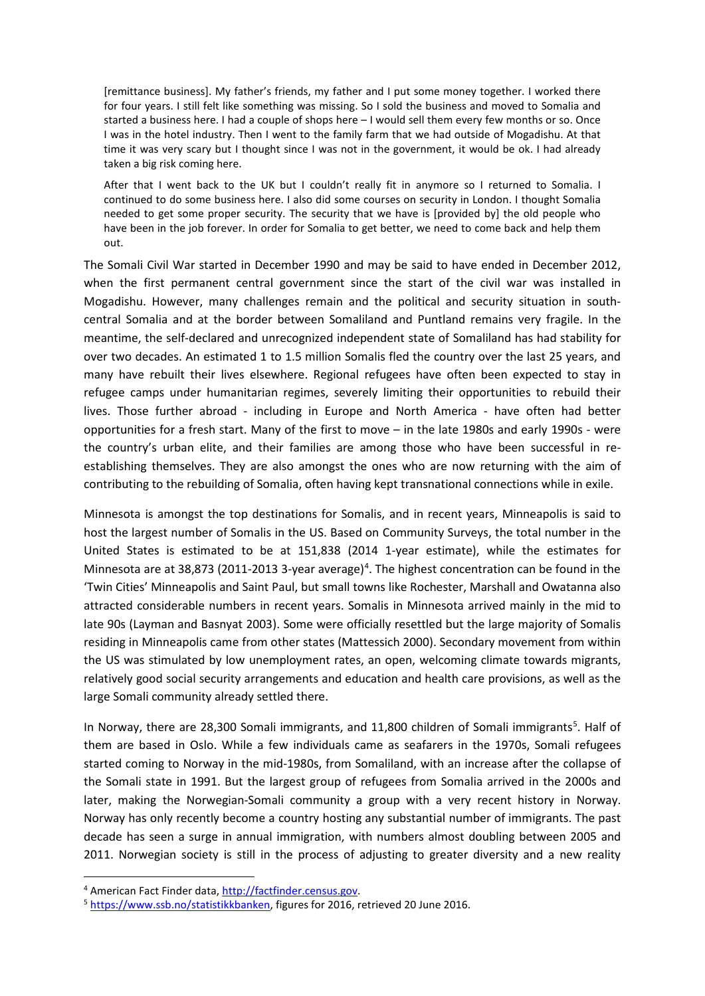[remittance business]. My father's friends, my father and I put some money together. I worked there for four years. I still felt like something was missing. So I sold the business and moved to Somalia and started a business here. I had a couple of shops here – I would sell them every few months or so. Once I was in the hotel industry. Then I went to the family farm that we had outside of Mogadishu. At that time it was very scary but I thought since I was not in the government, it would be ok. I had already taken a big risk coming here.

After that I went back to the UK but I couldn't really fit in anymore so I returned to Somalia. I continued to do some business here. I also did some courses on security in London. I thought Somalia needed to get some proper security. The security that we have is [provided by] the old people who have been in the job forever. In order for Somalia to get better, we need to come back and help them out.

The Somali Civil War started in December 1990 and may be said to have ended in December 2012, when the first permanent central government since the start of the civil war was installed in Mogadishu. However, many challenges remain and the political and security situation in southcentral Somalia and at the border between Somaliland and Puntland remains very fragile. In the meantime, the self-declared and unrecognized independent state of Somaliland has had stability for over two decades. An estimated 1 to 1.5 million Somalis fled the country over the last 25 years, and many have rebuilt their lives elsewhere. Regional refugees have often been expected to stay in refugee camps under humanitarian regimes, severely limiting their opportunities to rebuild their lives. Those further abroad - including in Europe and North America - have often had better opportunities for a fresh start. Many of the first to move – in the late 1980s and early 1990s - were the country's urban elite, and their families are among those who have been successful in reestablishing themselves. They are also amongst the ones who are now returning with the aim of contributing to the rebuilding of Somalia, often having kept transnational connections while in exile.

Minnesota is amongst the top destinations for Somalis, and in recent years, Minneapolis is said to host the largest number of Somalis in the US. Based on Community Surveys, the total number in the United States is estimated to be at 151,838 (2014 1-year estimate), while the estimates for Minnesota are at 38,873 (2011-2013 3-year average)<sup>[4](#page-6-0)</sup>. The highest concentration can be found in the 'Twin Cities' Minneapolis and Saint Paul, but small towns like Rochester, Marshall and Owatanna also attracted considerable numbers in recent years. Somalis in Minnesota arrived mainly in the mid to late 90s (Layman and Basnyat 2003). Some were officially resettled but the large majority of Somalis residing in Minneapolis came from other states (Mattessich 2000). Secondary movement from within the US was stimulated by low unemployment rates, an open, welcoming climate towards migrants, relatively good social security arrangements and education and health care provisions, as well as the large Somali community already settled there.

In Norway, there are 28,300 Somali immigrants, and 11,800 children of Somali immigrants<sup>[5](#page-6-1)</sup>. Half of them are based in Oslo. While a few individuals came as seafarers in the 1970s, Somali refugees started coming to Norway in the mid-1980s, from Somaliland, with an increase after the collapse of the Somali state in 1991. But the largest group of refugees from Somalia arrived in the 2000s and later, making the Norwegian-Somali community a group with a very recent history in Norway. Norway has only recently become a country hosting any substantial number of immigrants. The past decade has seen a surge in annual immigration, with numbers almost doubling between 2005 and 2011. Norwegian society is still in the process of adjusting to greater diversity and a new reality

<span id="page-6-0"></span> <sup>4</sup> American Fact Finder data, [http://factfinder.census.gov.](http://factfinder.census.gov/)

<span id="page-6-1"></span><sup>&</sup>lt;sup>5</sup> https://www.ssb.no/statistikkbanken</u>, figures for 2016, retrieved 20 June 2016.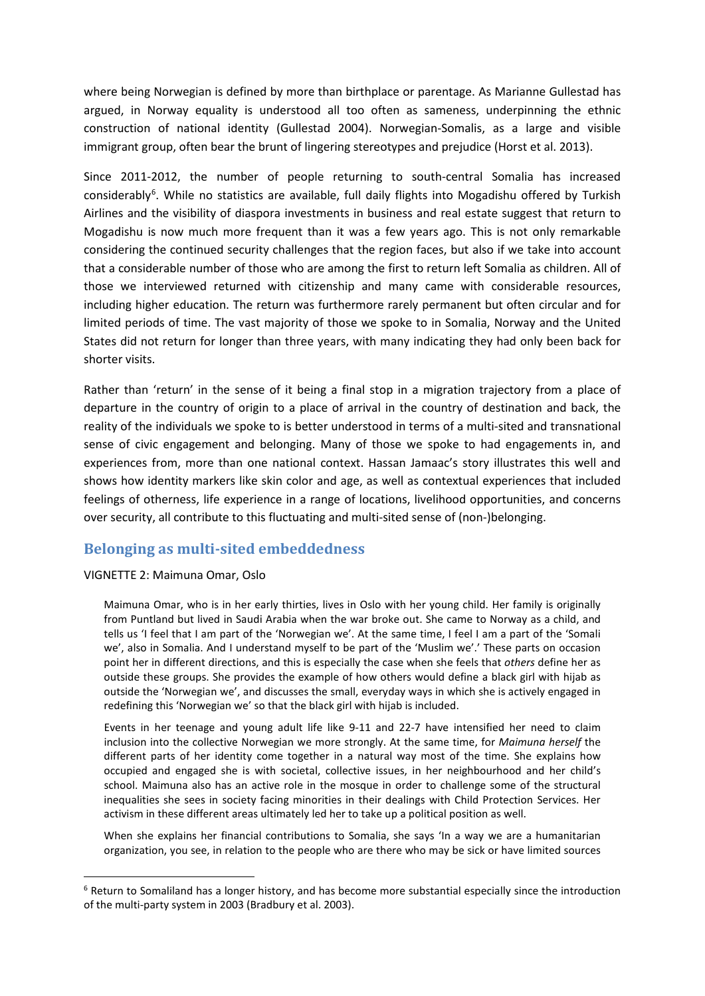where being Norwegian is defined by more than birthplace or parentage. As Marianne Gullestad has argued, in Norway equality is understood all too often as sameness, underpinning the ethnic construction of national identity (Gullestad 2004). Norwegian-Somalis, as a large and visible immigrant group, often bear the brunt of lingering stereotypes and prejudice (Horst et al. 2013).

Since 2011-2012, the number of people returning to south-central Somalia has increased considerably<sup>[6](#page-7-0)</sup>. While no statistics are available, full daily flights into Mogadishu offered by Turkish Airlines and the visibility of diaspora investments in business and real estate suggest that return to Mogadishu is now much more frequent than it was a few years ago. This is not only remarkable considering the continued security challenges that the region faces, but also if we take into account that a considerable number of those who are among the first to return left Somalia as children. All of those we interviewed returned with citizenship and many came with considerable resources, including higher education. The return was furthermore rarely permanent but often circular and for limited periods of time. The vast majority of those we spoke to in Somalia, Norway and the United States did not return for longer than three years, with many indicating they had only been back for shorter visits.

Rather than 'return' in the sense of it being a final stop in a migration trajectory from a place of departure in the country of origin to a place of arrival in the country of destination and back, the reality of the individuals we spoke to is better understood in terms of a multi-sited and transnational sense of civic engagement and belonging. Many of those we spoke to had engagements in, and experiences from, more than one national context. Hassan Jamaac's story illustrates this well and shows how identity markers like skin color and age, as well as contextual experiences that included feelings of otherness, life experience in a range of locations, livelihood opportunities, and concerns over security, all contribute to this fluctuating and multi-sited sense of (non-)belonging.

### **Belonging as multi-sited embeddedness**

#### VIGNETTE 2: Maimuna Omar, Oslo

Maimuna Omar, who is in her early thirties, lives in Oslo with her young child. Her family is originally from Puntland but lived in Saudi Arabia when the war broke out. She came to Norway as a child, and tells us 'I feel that I am part of the 'Norwegian we'. At the same time, I feel I am a part of the 'Somali we', also in Somalia. And I understand myself to be part of the 'Muslim we'.' These parts on occasion point her in different directions, and this is especially the case when she feels that *others* define her as outside these groups. She provides the example of how others would define a black girl with hijab as outside the 'Norwegian we', and discusses the small, everyday ways in which she is actively engaged in redefining this 'Norwegian we' so that the black girl with hijab is included.

Events in her teenage and young adult life like 9-11 and 22-7 have intensified her need to claim inclusion into the collective Norwegian we more strongly. At the same time, for *Maimuna herself* the different parts of her identity come together in a natural way most of the time. She explains how occupied and engaged she is with societal, collective issues, in her neighbourhood and her child's school. Maimuna also has an active role in the mosque in order to challenge some of the structural inequalities she sees in society facing minorities in their dealings with Child Protection Services. Her activism in these different areas ultimately led her to take up a political position as well.

When she explains her financial contributions to Somalia, she says 'In a way we are a humanitarian organization, you see, in relation to the people who are there who may be sick or have limited sources

<span id="page-7-0"></span> <sup>6</sup> Return to Somaliland has a longer history, and has become more substantial especially since the introduction of the multi-party system in 2003 (Bradbury et al. 2003).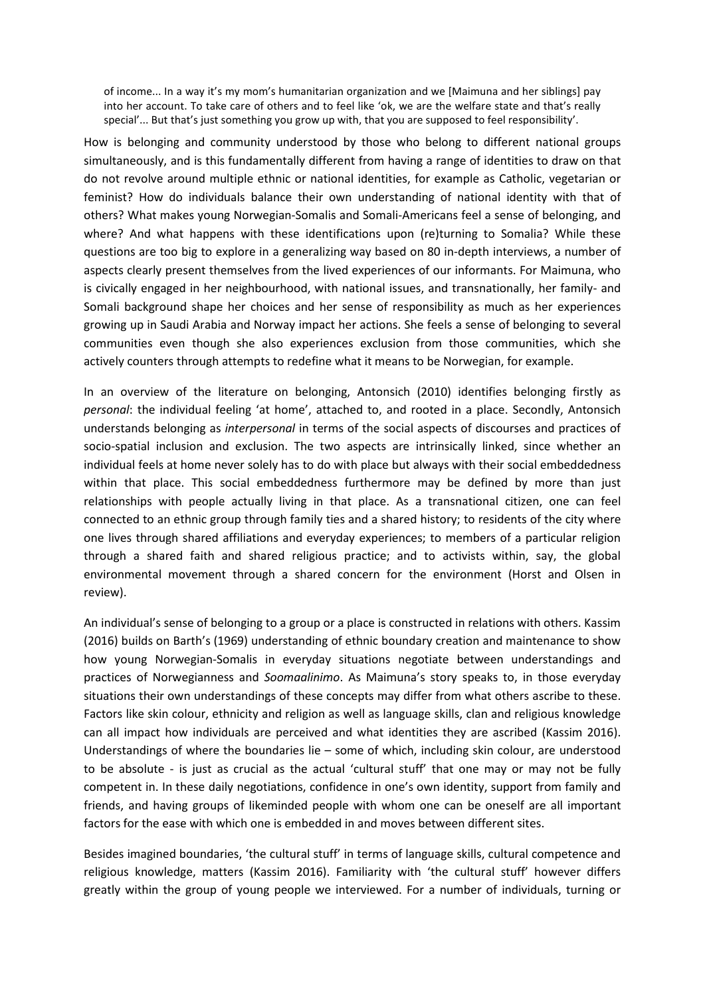of income... In a way it's my mom's humanitarian organization and we [Maimuna and her siblings] pay into her account. To take care of others and to feel like 'ok, we are the welfare state and that's really special'... But that's just something you grow up with, that you are supposed to feel responsibility'.

How is belonging and community understood by those who belong to different national groups simultaneously, and is this fundamentally different from having a range of identities to draw on that do not revolve around multiple ethnic or national identities, for example as Catholic, vegetarian or feminist? How do individuals balance their own understanding of national identity with that of others? What makes young Norwegian-Somalis and Somali-Americans feel a sense of belonging, and where? And what happens with these identifications upon (re)turning to Somalia? While these questions are too big to explore in a generalizing way based on 80 in-depth interviews, a number of aspects clearly present themselves from the lived experiences of our informants. For Maimuna, who is civically engaged in her neighbourhood, with national issues, and transnationally, her family- and Somali background shape her choices and her sense of responsibility as much as her experiences growing up in Saudi Arabia and Norway impact her actions. She feels a sense of belonging to several communities even though she also experiences exclusion from those communities, which she actively counters through attempts to redefine what it means to be Norwegian, for example.

In an overview of the literature on belonging, Antonsich (2010) identifies belonging firstly as *personal*: the individual feeling 'at home', attached to, and rooted in a place. Secondly, Antonsich understands belonging as *interpersonal* in terms of the social aspects of discourses and practices of socio-spatial inclusion and exclusion. The two aspects are intrinsically linked, since whether an individual feels at home never solely has to do with place but always with their social embeddedness within that place. This social embeddedness furthermore may be defined by more than just relationships with people actually living in that place. As a transnational citizen, one can feel connected to an ethnic group through family ties and a shared history; to residents of the city where one lives through shared affiliations and everyday experiences; to members of a particular religion through a shared faith and shared religious practice; and to activists within, say, the global environmental movement through a shared concern for the environment (Horst and Olsen in review).

An individual's sense of belonging to a group or a place is constructed in relations with others. Kassim (2016) builds on Barth's (1969) understanding of ethnic boundary creation and maintenance to show how young Norwegian-Somalis in everyday situations negotiate between understandings and practices of Norwegianness and *Soomaalinimo*. As Maimuna's story speaks to, in those everyday situations their own understandings of these concepts may differ from what others ascribe to these. Factors like skin colour, ethnicity and religion as well as language skills, clan and religious knowledge can all impact how individuals are perceived and what identities they are ascribed (Kassim 2016). Understandings of where the boundaries lie – some of which, including skin colour, are understood to be absolute - is just as crucial as the actual 'cultural stuff' that one may or may not be fully competent in. In these daily negotiations, confidence in one's own identity, support from family and friends, and having groups of likeminded people with whom one can be oneself are all important factors for the ease with which one is embedded in and moves between different sites.

Besides imagined boundaries, 'the cultural stuff' in terms of language skills, cultural competence and religious knowledge, matters (Kassim 2016). Familiarity with 'the cultural stuff' however differs greatly within the group of young people we interviewed. For a number of individuals, turning or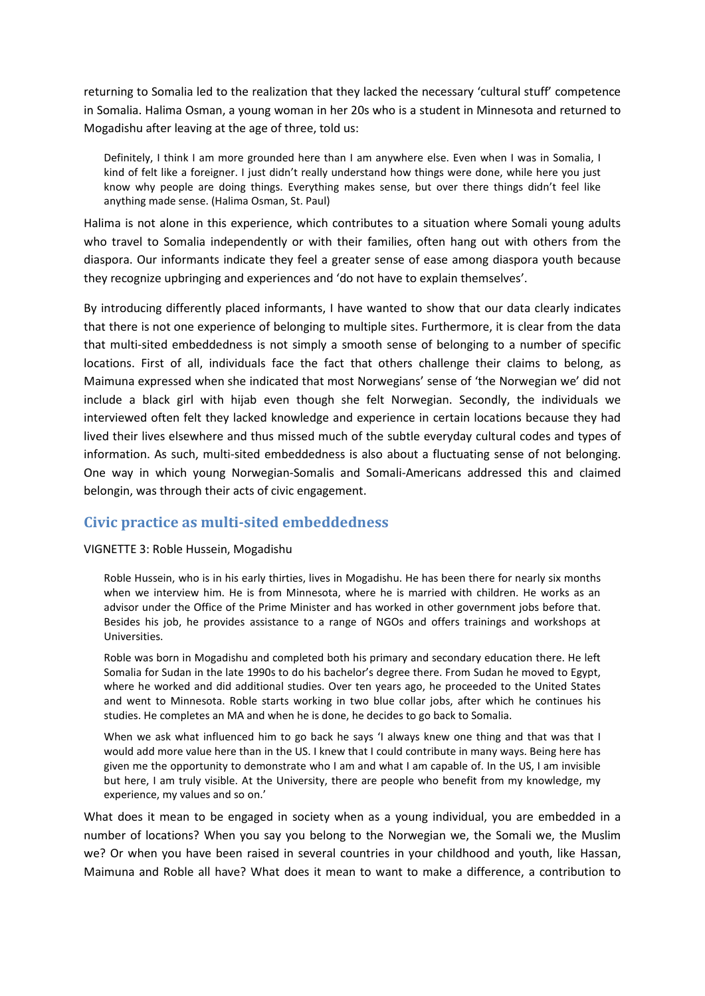returning to Somalia led to the realization that they lacked the necessary 'cultural stuff' competence in Somalia. Halima Osman, a young woman in her 20s who is a student in Minnesota and returned to Mogadishu after leaving at the age of three, told us:

Definitely, I think I am more grounded here than I am anywhere else. Even when I was in Somalia, I kind of felt like a foreigner. I just didn't really understand how things were done, while here you just know why people are doing things. Everything makes sense, but over there things didn't feel like anything made sense. (Halima Osman, St. Paul)

Halima is not alone in this experience, which contributes to a situation where Somali young adults who travel to Somalia independently or with their families, often hang out with others from the diaspora. Our informants indicate they feel a greater sense of ease among diaspora youth because they recognize upbringing and experiences and 'do not have to explain themselves'.

By introducing differently placed informants, I have wanted to show that our data clearly indicates that there is not one experience of belonging to multiple sites. Furthermore, it is clear from the data that multi-sited embeddedness is not simply a smooth sense of belonging to a number of specific locations. First of all, individuals face the fact that others challenge their claims to belong, as Maimuna expressed when she indicated that most Norwegians' sense of 'the Norwegian we' did not include a black girl with hijab even though she felt Norwegian. Secondly, the individuals we interviewed often felt they lacked knowledge and experience in certain locations because they had lived their lives elsewhere and thus missed much of the subtle everyday cultural codes and types of information. As such, multi-sited embeddedness is also about a fluctuating sense of not belonging. One way in which young Norwegian-Somalis and Somali-Americans addressed this and claimed belongin, was through their acts of civic engagement.

# **Civic practice as multi-sited embeddedness**

#### VIGNETTE 3: Roble Hussein, Mogadishu

Roble Hussein, who is in his early thirties, lives in Mogadishu. He has been there for nearly six months when we interview him. He is from Minnesota, where he is married with children. He works as an advisor under the Office of the Prime Minister and has worked in other government jobs before that. Besides his job, he provides assistance to a range of NGOs and offers trainings and workshops at Universities.

Roble was born in Mogadishu and completed both his primary and secondary education there. He left Somalia for Sudan in the late 1990s to do his bachelor's degree there. From Sudan he moved to Egypt, where he worked and did additional studies. Over ten years ago, he proceeded to the United States and went to Minnesota. Roble starts working in two blue collar jobs, after which he continues his studies. He completes an MA and when he is done, he decides to go back to Somalia.

When we ask what influenced him to go back he says 'I always knew one thing and that was that I would add more value here than in the US. I knew that I could contribute in many ways. Being here has given me the opportunity to demonstrate who I am and what I am capable of. In the US, I am invisible but here, I am truly visible. At the University, there are people who benefit from my knowledge, my experience, my values and so on.'

What does it mean to be engaged in society when as a young individual, you are embedded in a number of locations? When you say you belong to the Norwegian we, the Somali we, the Muslim we? Or when you have been raised in several countries in your childhood and youth, like Hassan, Maimuna and Roble all have? What does it mean to want to make a difference, a contribution to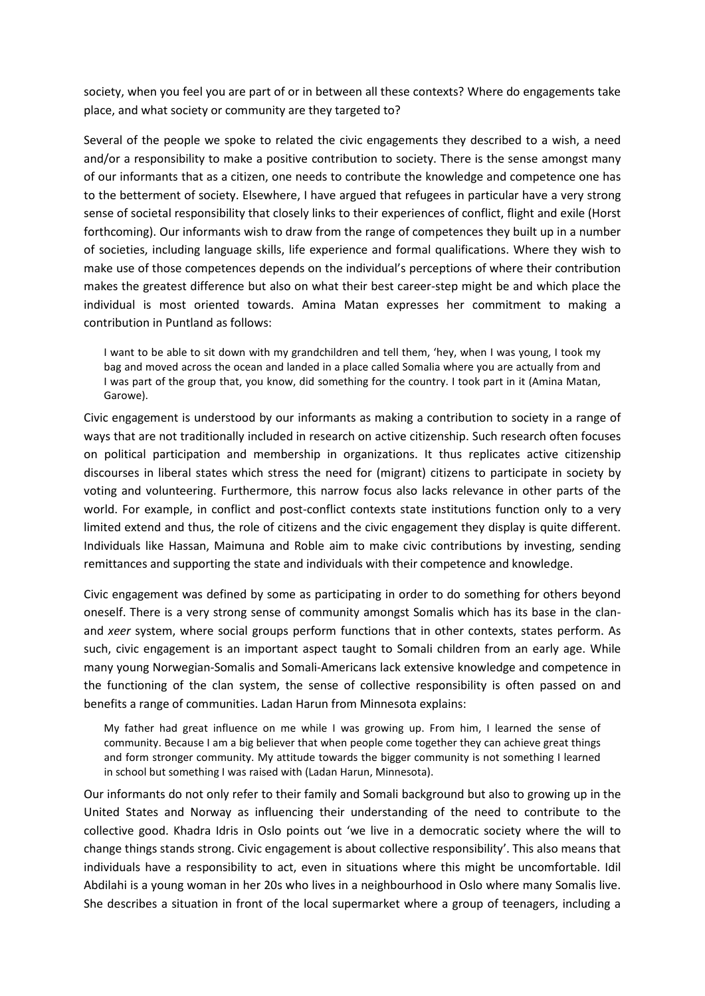society, when you feel you are part of or in between all these contexts? Where do engagements take place, and what society or community are they targeted to?

Several of the people we spoke to related the civic engagements they described to a wish, a need and/or a responsibility to make a positive contribution to society. There is the sense amongst many of our informants that as a citizen, one needs to contribute the knowledge and competence one has to the betterment of society. Elsewhere, I have argued that refugees in particular have a very strong sense of societal responsibility that closely links to their experiences of conflict, flight and exile (Horst forthcoming). Our informants wish to draw from the range of competences they built up in a number of societies, including language skills, life experience and formal qualifications. Where they wish to make use of those competences depends on the individual's perceptions of where their contribution makes the greatest difference but also on what their best career-step might be and which place the individual is most oriented towards. Amina Matan expresses her commitment to making a contribution in Puntland as follows:

I want to be able to sit down with my grandchildren and tell them, 'hey, when I was young, I took my bag and moved across the ocean and landed in a place called Somalia where you are actually from and I was part of the group that, you know, did something for the country. I took part in it (Amina Matan, Garowe).

Civic engagement is understood by our informants as making a contribution to society in a range of ways that are not traditionally included in research on active citizenship. Such research often focuses on political participation and membership in organizations. It thus replicates active citizenship discourses in liberal states which stress the need for (migrant) citizens to participate in society by voting and volunteering. Furthermore, this narrow focus also lacks relevance in other parts of the world. For example, in conflict and post-conflict contexts state institutions function only to a very limited extend and thus, the role of citizens and the civic engagement they display is quite different. Individuals like Hassan, Maimuna and Roble aim to make civic contributions by investing, sending remittances and supporting the state and individuals with their competence and knowledge.

Civic engagement was defined by some as participating in order to do something for others beyond oneself. There is a very strong sense of community amongst Somalis which has its base in the clanand *xeer* system, where social groups perform functions that in other contexts, states perform. As such, civic engagement is an important aspect taught to Somali children from an early age. While many young Norwegian-Somalis and Somali-Americans lack extensive knowledge and competence in the functioning of the clan system, the sense of collective responsibility is often passed on and benefits a range of communities. Ladan Harun from Minnesota explains:

My father had great influence on me while I was growing up. From him, I learned the sense of community. Because I am a big believer that when people come together they can achieve great things and form stronger community. My attitude towards the bigger community is not something I learned in school but something I was raised with (Ladan Harun, Minnesota).

Our informants do not only refer to their family and Somali background but also to growing up in the United States and Norway as influencing their understanding of the need to contribute to the collective good. Khadra Idris in Oslo points out 'we live in a democratic society where the will to change things stands strong. Civic engagement is about collective responsibility'. This also means that individuals have a responsibility to act, even in situations where this might be uncomfortable. Idil Abdilahi is a young woman in her 20s who lives in a neighbourhood in Oslo where many Somalis live. She describes a situation in front of the local supermarket where a group of teenagers, including a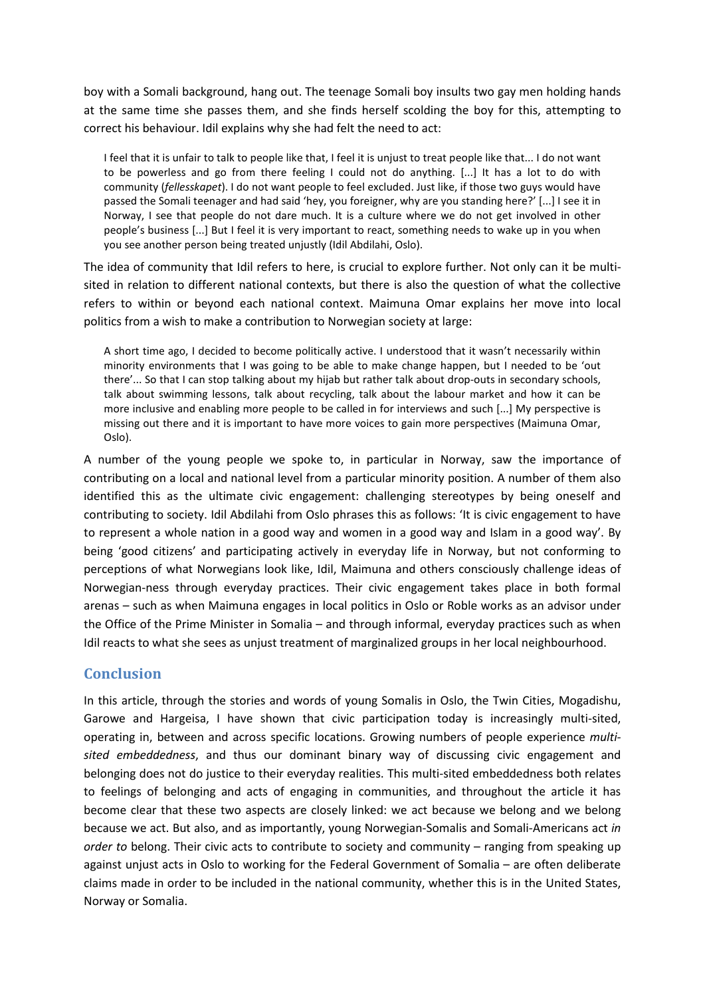boy with a Somali background, hang out. The teenage Somali boy insults two gay men holding hands at the same time she passes them, and she finds herself scolding the boy for this, attempting to correct his behaviour. Idil explains why she had felt the need to act:

I feel that it is unfair to talk to people like that, I feel it is unjust to treat people like that... I do not want to be powerless and go from there feeling I could not do anything. [...] It has a lot to do with community (*fellesskapet*). I do not want people to feel excluded. Just like, if those two guys would have passed the Somali teenager and had said 'hey, you foreigner, why are you standing here?' [...] I see it in Norway, I see that people do not dare much. It is a culture where we do not get involved in other people's business [...] But I feel it is very important to react, something needs to wake up in you when you see another person being treated unjustly (Idil Abdilahi, Oslo).

The idea of community that Idil refers to here, is crucial to explore further. Not only can it be multisited in relation to different national contexts, but there is also the question of what the collective refers to within or beyond each national context. Maimuna Omar explains her move into local politics from a wish to make a contribution to Norwegian society at large:

A short time ago, I decided to become politically active. I understood that it wasn't necessarily within minority environments that I was going to be able to make change happen, but I needed to be 'out there'... So that I can stop talking about my hijab but rather talk about drop-outs in secondary schools, talk about swimming lessons, talk about recycling, talk about the labour market and how it can be more inclusive and enabling more people to be called in for interviews and such [...] My perspective is missing out there and it is important to have more voices to gain more perspectives (Maimuna Omar, Oslo).

A number of the young people we spoke to, in particular in Norway, saw the importance of contributing on a local and national level from a particular minority position. A number of them also identified this as the ultimate civic engagement: challenging stereotypes by being oneself and contributing to society. Idil Abdilahi from Oslo phrases this as follows: 'It is civic engagement to have to represent a whole nation in a good way and women in a good way and Islam in a good way'. By being 'good citizens' and participating actively in everyday life in Norway, but not conforming to perceptions of what Norwegians look like, Idil, Maimuna and others consciously challenge ideas of Norwegian-ness through everyday practices. Their civic engagement takes place in both formal arenas – such as when Maimuna engages in local politics in Oslo or Roble works as an advisor under the Office of the Prime Minister in Somalia – and through informal, everyday practices such as when Idil reacts to what she sees as unjust treatment of marginalized groups in her local neighbourhood.

### **Conclusion**

In this article, through the stories and words of young Somalis in Oslo, the Twin Cities, Mogadishu, Garowe and Hargeisa, I have shown that civic participation today is increasingly multi-sited, operating in, between and across specific locations. Growing numbers of people experience *multisited embeddedness*, and thus our dominant binary way of discussing civic engagement and belonging does not do justice to their everyday realities. This multi-sited embeddedness both relates to feelings of belonging and acts of engaging in communities, and throughout the article it has become clear that these two aspects are closely linked: we act because we belong and we belong because we act. But also, and as importantly, young Norwegian-Somalis and Somali-Americans act *in order to* belong. Their civic acts to contribute to society and community – ranging from speaking up against unjust acts in Oslo to working for the Federal Government of Somalia – are often deliberate claims made in order to be included in the national community, whether this is in the United States, Norway or Somalia.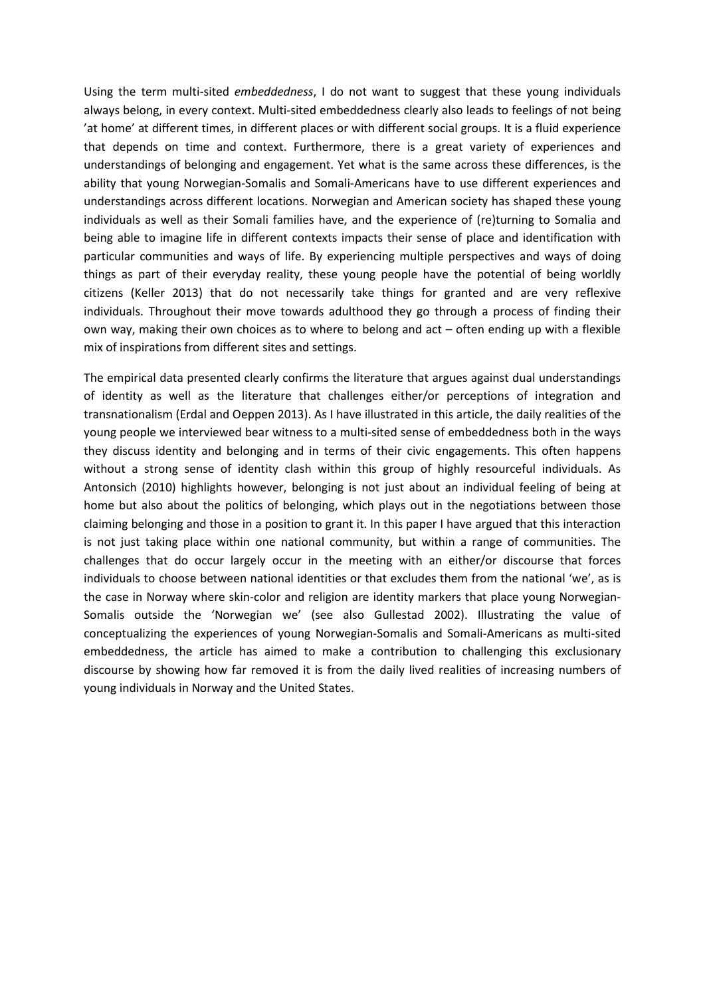Using the term multi-sited *embeddedness*, I do not want to suggest that these young individuals always belong, in every context. Multi-sited embeddedness clearly also leads to feelings of not being 'at home' at different times, in different places or with different social groups. It is a fluid experience that depends on time and context. Furthermore, there is a great variety of experiences and understandings of belonging and engagement. Yet what is the same across these differences, is the ability that young Norwegian-Somalis and Somali-Americans have to use different experiences and understandings across different locations. Norwegian and American society has shaped these young individuals as well as their Somali families have, and the experience of (re)turning to Somalia and being able to imagine life in different contexts impacts their sense of place and identification with particular communities and ways of life. By experiencing multiple perspectives and ways of doing things as part of their everyday reality, these young people have the potential of being worldly citizens (Keller 2013) that do not necessarily take things for granted and are very reflexive individuals. Throughout their move towards adulthood they go through a process of finding their own way, making their own choices as to where to belong and act – often ending up with a flexible mix of inspirations from different sites and settings.

The empirical data presented clearly confirms the literature that argues against dual understandings of identity as well as the literature that challenges either/or perceptions of integration and transnationalism (Erdal and Oeppen 2013). As I have illustrated in this article, the daily realities of the young people we interviewed bear witness to a multi-sited sense of embeddedness both in the ways they discuss identity and belonging and in terms of their civic engagements. This often happens without a strong sense of identity clash within this group of highly resourceful individuals. As Antonsich (2010) highlights however, belonging is not just about an individual feeling of being at home but also about the politics of belonging, which plays out in the negotiations between those claiming belonging and those in a position to grant it. In this paper I have argued that this interaction is not just taking place within one national community, but within a range of communities. The challenges that do occur largely occur in the meeting with an either/or discourse that forces individuals to choose between national identities or that excludes them from the national 'we', as is the case in Norway where skin-color and religion are identity markers that place young Norwegian-Somalis outside the 'Norwegian we' (see also Gullestad 2002). Illustrating the value of conceptualizing the experiences of young Norwegian-Somalis and Somali-Americans as multi-sited embeddedness, the article has aimed to make a contribution to challenging this exclusionary discourse by showing how far removed it is from the daily lived realities of increasing numbers of young individuals in Norway and the United States.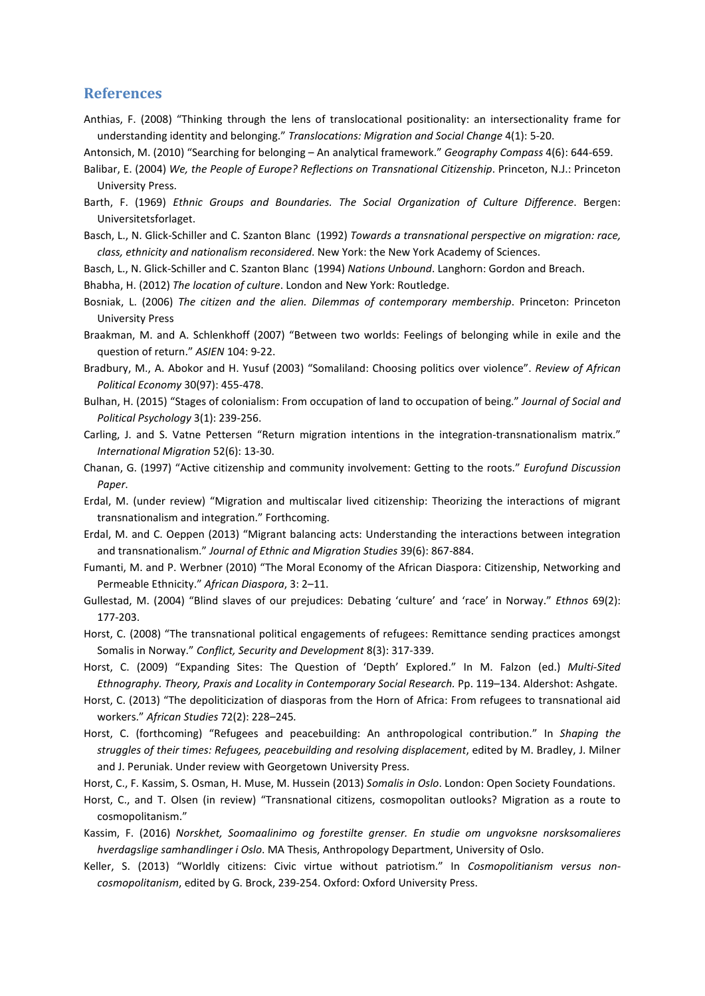#### **References**

- Anthias, F. (2008) "Thinking through the lens of translocational positionality: an intersectionality frame for understanding identity and belonging." *Translocations: Migration and Social Change* 4(1): 5-20.
- Antonsich, M. (2010) "Searching for belonging An analytical framework." *Geography Compass* 4(6): 644-659.
- Balibar, E. (2004) *We, the People of Europe? Reflections on Transnational Citizenship*. Princeton, N.J.: Princeton University Press.
- Barth, F. (1969) *Ethnic Groups and Boundaries. The Social Organization of Culture Difference*. Bergen: Universitetsforlaget.
- Basch, L., N. Glick-Schiller and C. Szanton Blanc (1992) *Towards a transnational perspective on migration: race, class, ethnicity and nationalism reconsidered*. New York: the New York Academy of Sciences.
- Basch, L., N. Glick-Schiller and C. Szanton Blanc (1994) *Nations Unbound*. Langhorn: Gordon and Breach.
- Bhabha, H. (2012) *The location of culture*. London and New York: Routledge.
- Bosniak, L. (2006) *The citizen and the alien. Dilemmas of contemporary membership*. Princeton: Princeton University Press
- Braakman, M. and A. Schlenkhoff (2007) "Between two worlds: Feelings of belonging while in exile and the question of return." *ASIEN* 104: 9-22.
- Bradbury, M., A. Abokor and H. Yusuf (2003) "Somaliland: Choosing politics over violence". *Review of African Political Economy* 30(97): 455-478.
- Bulhan, H. (2015) "Stages of colonialism: From occupation of land to occupation of being." *Journal of Social and Political Psychology* 3(1): 239-256.
- Carling, J. and S. Vatne Pettersen "Return migration intentions in the integration-transnationalism matrix." *International Migration* 52(6): 13-30.
- Chanan, G. (1997) "Active citizenship and community involvement: Getting to the roots." *Eurofund Discussion Paper*.
- Erdal, M. (under review) "Migration and multiscalar lived citizenship: Theorizing the interactions of migrant transnationalism and integration." Forthcoming.
- Erdal, M. and C. Oeppen (2013) "Migrant balancing acts: Understanding the interactions between integration and transnationalism." *Journal of Ethnic and Migration Studies* 39(6): 867-884.
- Fumanti, M. and P. Werbner (2010) "The Moral Economy of the African Diaspora: Citizenship, Networking and Permeable Ethnicity." *African Diaspora*, 3: 2–11.
- Gullestad, M. (2004) "Blind slaves of our prejudices: Debating 'culture' and 'race' in Norway." *Ethnos* 69(2): 177-203.
- Horst, C. (2008) "The transnational political engagements of refugees: Remittance sending practices amongst Somalis in Norway." *Conflict, Security and Development* 8(3): 317-339.
- Horst, C. (2009) "Expanding Sites: The Question of 'Depth' Explored." In M. Falzon (ed.) *Multi-Sited Ethnography. Theory, Praxis and Locality in Contemporary Social Research.* Pp. 119–134. Aldershot: Ashgate.
- Horst, C. (2013) "The depoliticization of diasporas from the Horn of Africa: From refugees to transnational aid workers." *African Studies* 72(2): 228–245*.*
- Horst, C. (forthcoming) "Refugees and peacebuilding: An anthropological contribution." In *Shaping the struggles of their times: Refugees, peacebuilding and resolving displacement*, edited by M. Bradley, J. Milner and J. Peruniak. Under review with Georgetown University Press.
- Horst, C., F. Kassim, S. Osman, H. Muse, M. Hussein (2013) *Somalis in Oslo*. London: Open Society Foundations.
- Horst, C., and T. Olsen (in review) "Transnational citizens, cosmopolitan outlooks? Migration as a route to cosmopolitanism."
- Kassim, F. (2016) *Norskhet, Soomaalinimo og forestilte grenser. En studie om ungvoksne norsksomalieres hverdagslige samhandlinger i Oslo*. MA Thesis, Anthropology Department, University of Oslo.
- Keller, S. (2013) "Worldly citizens: Civic virtue without patriotism." In *Cosmopolitianism versus noncosmopolitanism*, edited by G. Brock, 239-254. Oxford: Oxford University Press.